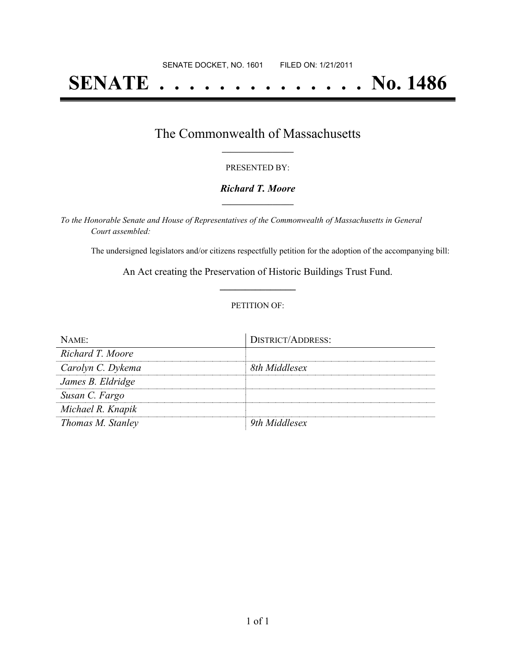# **SENATE . . . . . . . . . . . . . . No. 1486**

### The Commonwealth of Massachusetts **\_\_\_\_\_\_\_\_\_\_\_\_\_\_\_\_\_**

#### PRESENTED BY:

#### *Richard T. Moore* **\_\_\_\_\_\_\_\_\_\_\_\_\_\_\_\_\_**

*To the Honorable Senate and House of Representatives of the Commonwealth of Massachusetts in General Court assembled:*

The undersigned legislators and/or citizens respectfully petition for the adoption of the accompanying bill:

An Act creating the Preservation of Historic Buildings Trust Fund. **\_\_\_\_\_\_\_\_\_\_\_\_\_\_\_**

#### PETITION OF:

| NAME              | <b>DISTRICT/ADDRESS:</b> |
|-------------------|--------------------------|
| Richard T. Moore  |                          |
| Carolyn C. Dykema | 8th Middlesex            |
| James B. Eldridge |                          |
| Susan C. Fargo    |                          |
| Michael R. Knapik |                          |
| Thomas M. Stanley | 9th Middlesex            |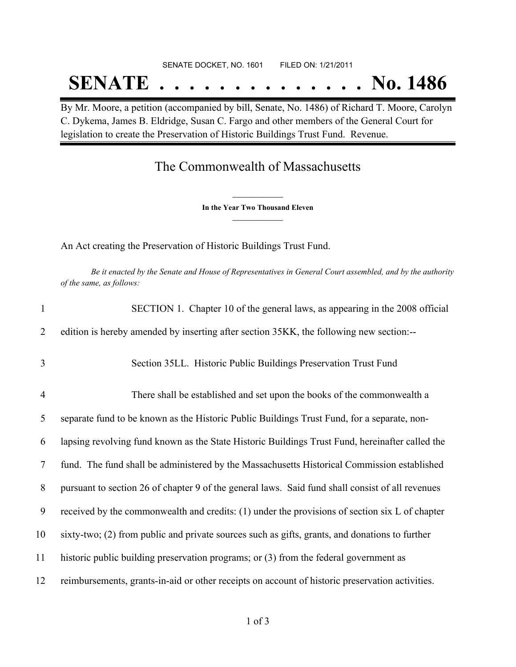# SENATE DOCKET, NO. 1601 FILED ON: 1/21/2011 **SENATE . . . . . . . . . . . . . . No. 1486**

By Mr. Moore, a petition (accompanied by bill, Senate, No. 1486) of Richard T. Moore, Carolyn C. Dykema, James B. Eldridge, Susan C. Fargo and other members of the General Court for legislation to create the Preservation of Historic Buildings Trust Fund. Revenue.

## The Commonwealth of Massachusetts

**\_\_\_\_\_\_\_\_\_\_\_\_\_\_\_ In the Year Two Thousand Eleven \_\_\_\_\_\_\_\_\_\_\_\_\_\_\_**

An Act creating the Preservation of Historic Buildings Trust Fund.

Be it enacted by the Senate and House of Representatives in General Court assembled, and by the authority *of the same, as follows:*

| $\mathbf{1}$   | SECTION 1. Chapter 10 of the general laws, as appearing in the 2008 official                     |
|----------------|--------------------------------------------------------------------------------------------------|
| 2              | edition is hereby amended by inserting after section 35KK, the following new section:--          |
| 3              | Section 35LL. Historic Public Buildings Preservation Trust Fund                                  |
| $\overline{4}$ | There shall be established and set upon the books of the commonwealth a                          |
| 5              | separate fund to be known as the Historic Public Buildings Trust Fund, for a separate, non-      |
| 6              | lapsing revolving fund known as the State Historic Buildings Trust Fund, hereinafter called the  |
| $\tau$         | fund. The fund shall be administered by the Massachusetts Historical Commission established      |
| 8              | pursuant to section 26 of chapter 9 of the general laws. Said fund shall consist of all revenues |
| 9              | received by the commonwealth and credits: $(1)$ under the provisions of section six L of chapter |
| 10             | sixty-two; (2) from public and private sources such as gifts, grants, and donations to further   |
| 11             | historic public building preservation programs; or (3) from the federal government as            |
| 12             | reimbursements, grants-in-aid or other receipts on account of historic preservation activities.  |
|                |                                                                                                  |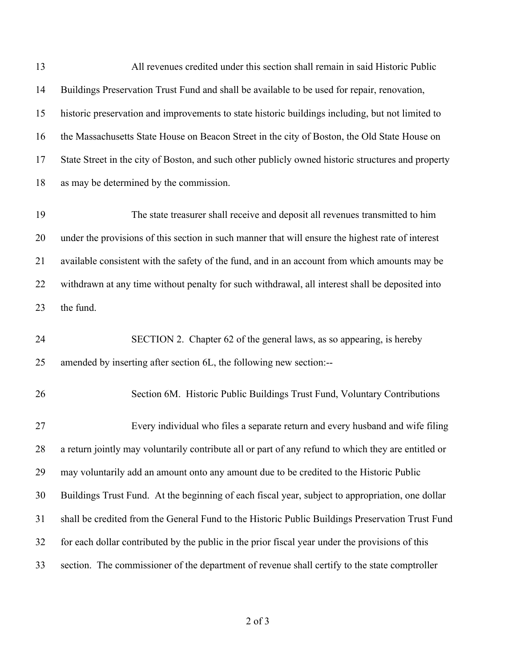13 All revenues credited under this section shall remain in said Historic Public Buildings Preservation Trust Fund and shall be available to be used for repair, renovation, historic preservation and improvements to state historic buildings including, but not limited to the Massachusetts State House on Beacon Street in the city of Boston, the Old State House on State Street in the city of Boston, and such other publicly owned historic structures and property as may be determined by the commission. 19 The state treasurer shall receive and deposit all revenues transmitted to him under the provisions of this section in such manner that will ensure the highest rate of interest available consistent with the safety of the fund, and in an account from which amounts may be withdrawn at any time without penalty for such withdrawal, all interest shall be deposited into the fund. 24 SECTION 2. Chapter 62 of the general laws, as so appearing, is hereby amended by inserting after section 6L, the following new section:-- 26 Section 6M. Historic Public Buildings Trust Fund, Voluntary Contributions 27 Every individual who files a separate return and every husband and wife filing a return jointly may voluntarily contribute all or part of any refund to which they are entitled or may voluntarily add an amount onto any amount due to be credited to the Historic Public Buildings Trust Fund. At the beginning of each fiscal year, subject to appropriation, one dollar shall be credited from the General Fund to the Historic Public Buildings Preservation Trust Fund for each dollar contributed by the public in the prior fiscal year under the provisions of this section. The commissioner of the department of revenue shall certify to the state comptroller

of 3